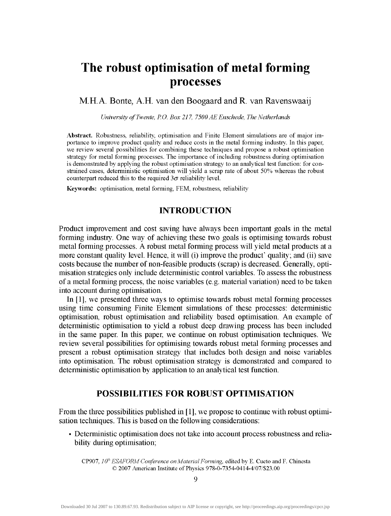# **The robust optimisation of metal forming processes**

#### M.H.A. Bonte, A.H. van den Boogaard and R. van Ravenswaaij

*University of Twente, P.O. Box 217, 7500 AE Enschede, The Netherlands* 

**Abstract.** Robustness, reliability, optimisation and Finite Element simulations are of major importance to improve product quality and reduce costs in the metal forming industry. In this paper, we review several possibilities for combining these techniques and propose a robust optimisation strategy for metal forming processes. The importance of including robustness during optimisation is demonstrated by applying the robust optimisation strategy to an analytical test function: for constrained cases, deterministic optimisation will yield a scrap rate of about 50% whereas the robust counterpart reduced this to the required  $3\sigma$  reliability level.

**Keywords:** optimisation, metal forming, FEM, robustness, reliability

## **INTRODUCTION**

Product improvement and cost saving have always been important goals in the metal forming industry. One way of achieving these two goals is optimising towards robust metal forming processes. A robust metal forming process will yield metal products at a more constant quality level. Hence, it will (i) improve the product' quality; and (ii) save costs because the number of non-feasible products (scrap) is decreased. Generally, optimisation strategies only include deterministic control variables. To assess the robustness of a metal forming process, the noise variables (e.g. material variation) need to be taken into account during optimisation.

In [1], we presented three ways to optimise towards robust metal forming processes using time consuming Finite Element simulations of these processes: deterministic optimisation, robust optimisation and reliability based optimisation. An example of deterministic optimisation to yield a robust deep drawing process has been included in the same paper. In this paper, we continue on robust optimisation techniques. We review several possibilities for optimising towards robust metal forming processes and present a robust optimisation strategy that includes both design and noise variables into optimisation. The robust optimisation strategy is demonstrated and compared to deterministic optimisation by application to an analytical test function.

## **POSSIBILITIES FOR ROBUST OPTIMISATION**

From the three possibilities published in [1], we propose to continue with robust optimisation techniques. This is based on the following considerations:

• Deterministic optimisation does not take into account process robustness and reliability during optimisation;

CP907,*1 Cfi ESAFORM Conference on Material Forming,* edited by E. Cueto and F. Chinesta © 2007 American Institute of Physics 978-0-7354-0414-4/07/\$23.00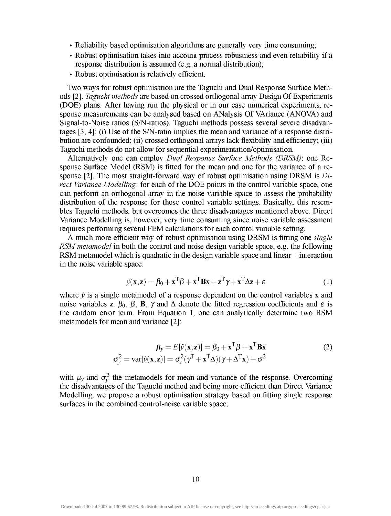- Reliability based optimisation algorithms are generally very time consuming;
- Robust optimisation takes into account process robustness and even reliability if a response distribution is assumed (e.g. a normal distribution);
- Robust optimisation is relatively efficient.

Two ways for robust optimisation are the Taguchi and Dual Response Surface Methods [2]. *Taguchi methods* are based on crossed orthogonal array Design Of Experiments (DOE) plans. After having run the physical or in our case numerical experiments, response measurements can be analysed based on ANalysis Of VAriance (ANOVA) and Signal-to-Noise ratios (S/N-ratios). Taguchi methods possess several severe disadvantages [3, 4]: (i) Use of the S/N-ratio implies the mean and variance of a response distribution are confounded; (ii) crossed orthogonal arrays lack flexibility and efficiency; (iii) Taguchi methods do not allow for sequential experimentation/optimisation.

Alternatively one can employ *Dual Response Surface Methods (DRSM):* one Response Surface Model (RSM) is fitted for the mean and one for the variance of a response [2]. The most straight-forward way of robust optimisation using DRSM is *Direct Variance Modelling:* for each of the DOE points in the control variable space, one can perform an orthogonal array in the noise variable space to assess the probability distribution of the response for those control variable settings. Basically, this resembles Taguchi methods, but overcomes the three disadvantages mentioned above. Direct Variance Modelling is, however, very time consuming since noise variable assessment requires performing several FEM calculations for each control variable setting.

A much more efficient way of robust optimisation using DRSM is fitting one *single RSM metamodel* in both the control and noise design variable space, e.g. the following RSM metamodel which is quadratic in the design variable space and linear + interaction in the noise variable space:

$$
\hat{y}(\mathbf{x}, \mathbf{z}) = \beta_0 + \mathbf{x}^{\mathrm{T}} \boldsymbol{\beta} + \mathbf{x}^{\mathrm{T}} \mathbf{B} \mathbf{x} + \mathbf{z}^{\mathrm{T}} \boldsymbol{\gamma} + \mathbf{x}^{\mathrm{T}} \Delta \mathbf{z} + \boldsymbol{\varepsilon}
$$
\n(1)

where  $\hat{v}$  is a single metamodel of a response dependent on the control variables x and noise variables z.  $\beta_0$ ,  $\beta$ ,  $\mathbf{B}$ ,  $\gamma$  and  $\Delta$  denote the fitted regression coefficients and  $\varepsilon$  is the random error term. From Equation 1, one can analytically determine two RSM metamodels for mean and variance [2]:

$$
\mu_{y} = E[\hat{v}(\mathbf{x}, \mathbf{z})] = \beta_0 + \mathbf{x}^{\mathrm{T}} \beta + \mathbf{x}^{\mathrm{T}} \mathbf{B} \mathbf{x}
$$
  
\n
$$
\sigma_{v}^{2} = \text{var}[\hat{v}(\mathbf{x}, \mathbf{z})] = \sigma_{z}^{2} (\gamma^{\mathrm{T}} + \mathbf{x}^{\mathrm{T}} \Delta) (\gamma + \Delta^{\mathrm{T}} \mathbf{x}) + \sigma^{2}
$$
\n(2)

with  $\mu$ <sub>*v*</sub> and  $\sigma$ <sup>2</sup><sub>*v*</sub> the metamodels for mean and variance of the response. Overcoming the disadvantages of the Taguchi method and being more efficient than Direct Variance Modelling, we propose a robust optimisation strategy based on fitting single response surfaces in the combined control-noise variable space.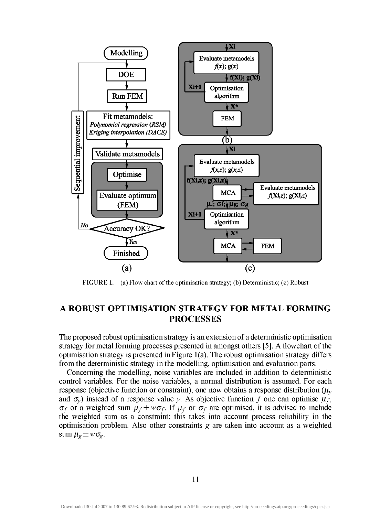

FIGURE 1. (a) Flow chart of the optimisation strategy; (b) Deterministic; (c) Robust

# A ROBUST OPTIMISATION STRATEGY FOR METAL FORMING PROCESSES

The proposed robust optimisation strategy is an extension of a deterministic optimisation strategy for metal forming processes presented in amongst others [5]. A flowchart of the optimisation strategy is presented in Figure 1(a). The robust optimisation strategy differs from the deterministic strategy in the modelling, optimisation and evaluation parts.

Concerning the modelling, noise variables are included in addition to deterministic control variables. For the noise variables, a normal distribution is assumed. For each response (objective function or constraint), one now obtains a response distribution  $(\mu_{\nu})$ and  $\sigma_v$ ) instead of a response value *y*. As objective function f one can optimise  $\mu_f$ ,  $\sigma_f$  or a weighted sum  $\mu_f \pm w \sigma_f$ . If  $\mu_f$  or  $\sigma_f$  are optimised, it is advised to include the weighted sum as a constraint: this takes into account process reliability in the optimisation problem. Also other constraints *g* are taken into account as a weighted sum  $\mu_g \pm w \sigma_g$ .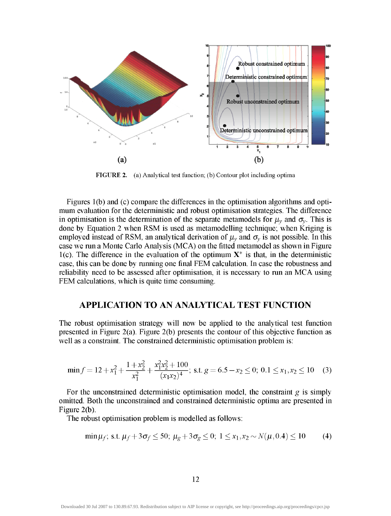

FIGURE 2. (a) Analytical test function; (b) Contour plot including optima

Figures 1(b) and (c) compare the differences in the optimisation algorithms and optimum evaluation for the deterministic and robust optimisation strategies. The difference in optimisation is the determination of the separate metamodels for  $\mu$ <sup>*y*</sup> and  $\sigma$ <sup>*y*</sup>. This is done by Equation 2 when RSM is used as metamodelling technique; when Kriging is employed instead of RSM, an analytical derivation of  $\mu$ <sup>*y*</sup> and  $\sigma$ <sup>*y*</sup> is not possible. In this case we run a Monte Carlo Analysis (MCA) on the fitted metamodel as shown in Figure 1(c). The difference in the evaluation of the optimum  $X^*$  is that, in the deterministic case, this can be done by running one final FEM calculation. In case the robustness and reliability need to be assessed after optimisation, it is necessary to run an MCA using FEM calculations, which is quite time consuming.

#### APPLICATION TO AN ANALYTICAL TEST FUNCTION

The robust optimisation strategy will now be applied to the analytical test function presented in Figure  $2(a)$ . Figure  $2(b)$  presents the contour of this objective function as well as a constraint. The constrained deterministic optimisation problem is:

$$
\min f = 12 + x_1^2 + \frac{1 + x_2^2}{x_1^2} + \frac{x_1^2 x_2^2 + 100}{(x_1 x_2)^4}; \text{ s.t. } g = 6.5 - x_2 \le 0; \ 0.1 \le x_1, x_2 \le 10 \tag{3}
$$

For the unconstrained deterministic optimisation model, the constraint  $g$  is simply omitted. Both the unconstrained and constrained deterministic optima are presented in Figure 2(b).

The robust optimisation problem is modelled as follows:

$$
\min \mu_f; \text{ s.t. } \mu_f + 3\sigma_f \le 50; \ \mu_g + 3\sigma_g \le 0; \ 1 \le x_1, x_2 \sim N(\mu, 0.4) \le 10 \tag{4}
$$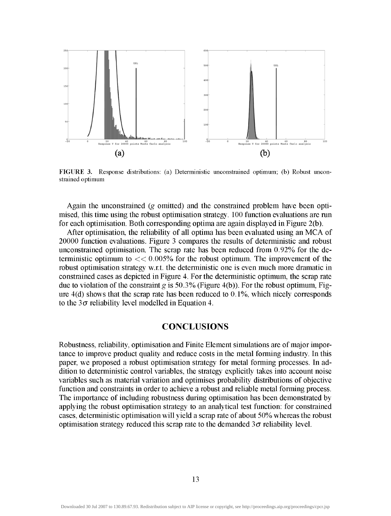

FIGURE 3. Response distributions: (a) Deterministic unconstrained optimum; (b) Robust unconstrained optimum

Again the unconstrained *(g* omitted) and the constrained problem have been optimised, this time using the robust optimisation strategy. 100 function evaluations are run for each optimisation. Both corresponding optima are again displayed in Figure 2(b).

After optimisation, the reliability of all optima has been evaluated using an MCA of 20000 function evaluations. Figure 3 compares the results of deterministic and robust unconstrained optimisation. The scrap rate has been reduced from 0.92% for the deterministic optimum to  $<< 0.005\%$  for the robust optimum. The improvement of the robust optimisation strategy w.r.t. the deterministic one is even much more dramatic in constrained cases as depicted in Figure 4. For the deterministic optimum, the scrap rate due to violation of the constraint *g* is 50.3% (Figure 4(b)). For the robust optimum, Figure  $4(d)$  shows that the scrap rate has been reduced to  $0.1\%$ , which nicely corresponds to the  $3\sigma$  reliability level modelled in Equation 4.

### **CONCLUSIONS**

Robustness, reliability, optimisation and Finite Element simulations are of major importance to improve product quality and reduce costs in the metal forming industry. In this paper, we proposed a robust optimisation strategy for metal forming processes. In addition to deterministic control variables, the strategy explicitly takes into account noise variables such as material variation and optimises probability distributions of objective function and constraints in order to achieve a robust and reliable metal forming process. The importance of including robustness during optimisation has been demonstrated by applying the robust optimisation strategy to an analytical test function: for constrained cases, deterministic optimisation will yield a scrap rate of about 50% whereas the robust optimisation strategy reduced this scrap rate to the demanded  $3\sigma$  reliability level.